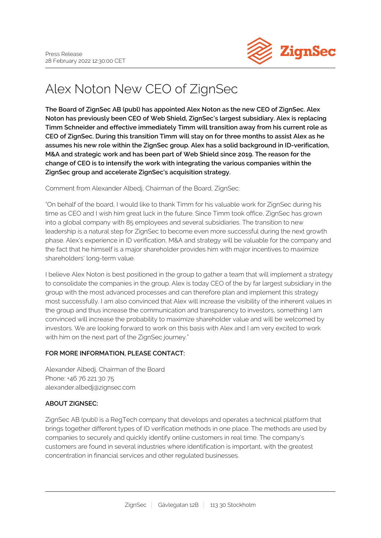

## Alex Noton New CEO of ZignSec

**The Board of ZignSec AB (publ) has appointed Alex Noton as the new CEO of ZignSec. Alex Noton has previously been CEO of Web Shield, ZignSec's largest subsidiary. Alex is replacing Timm Schneider and effective immediately Timm will transition away from his current role as CEO of ZignSec. During this transition Timm will stay on for three months to assist Alex as he assumes his new role within the ZignSec group. Alex has a solid background in ID-verification, M&A and strategic work and has been part of Web Shield since 2019. The reason for the change of CEO is to intensify the work with integrating the various companies within the ZignSec group and accelerate ZignSec's acquisition strategy.**

Comment from Alexander Albedj, Chairman of the Board, ZignSec:

"On behalf of the board, I would like to thank Timm for his valuable work for ZignSec during his time as CEO and I wish him great luck in the future. Since Timm took office, ZignSec has grown into a global company with 85 employees and several subsidiaries. The transition to new leadership is a natural step for ZignSec to become even more successful during the next growth phase. Alex's experience in ID verification, M&A and strategy will be valuable for the company and the fact that he himself is a major shareholder provides him with major incentives to maximize shareholders' long-term value.

I believe Alex Noton is best positioned in the group to gather a team that will implement a strategy to consolidate the companies in the group. Alex is today CEO of the by far largest subsidiary in the group with the most advanced processes and can therefore plan and implement this strategy most successfully. I am also convinced that Alex will increase the visibility of the inherent values in the group and thus increase the communication and transparency to investors, something I am convinced will increase the probability to maximize shareholder value and will be welcomed by investors. We are looking forward to work on this basis with Alex and I am very excited to work with him on the next part of the ZignSec journey."

## **FOR MORE INFORMATION, PLEASE CONTACT:**

Alexander Albedj, Chairman of the Board Phone: +46 76 221 30 75 alexander.albedj@zignsec.com

## **ABOUT ZIGNSEC:**

ZignSec AB (publ) is a RegTech company that develops and operates a technical platform that brings together different types of ID verification methods in one place. The methods are used by companies to securely and quickly identify online customers in real time. The company's customers are found in several industries where identification is important, with the greatest concentration in financial services and other regulated businesses.